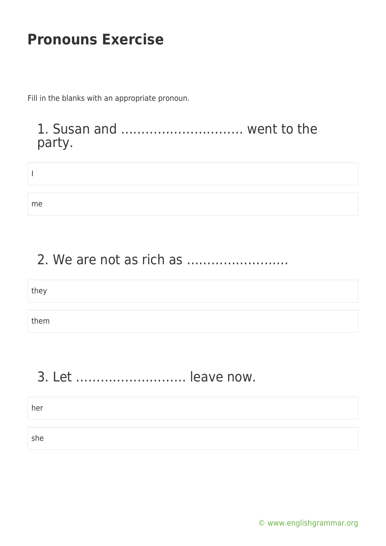Fill in the blanks with an appropriate pronoun.

#### 1. Susan and ………………………… went to the party.

| me |  |  |
|----|--|--|

## 2. We are not as rich as …………………….

| they |  |  |
|------|--|--|
|      |  |  |
| them |  |  |

## 3. Let ……………………… leave now.

her

she

[© www.englishgrammar.org](https://www.englishgrammar.org/)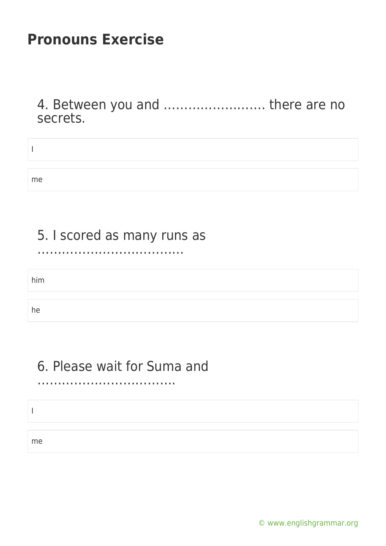4. Between you and ……………………. there are no secrets.

| me |  |  |
|----|--|--|

### 5. I scored as many runs as

………………………………

him

he

#### 6. Please wait for Suma and …………………………….

I

me

[© www.englishgrammar.org](https://www.englishgrammar.org/)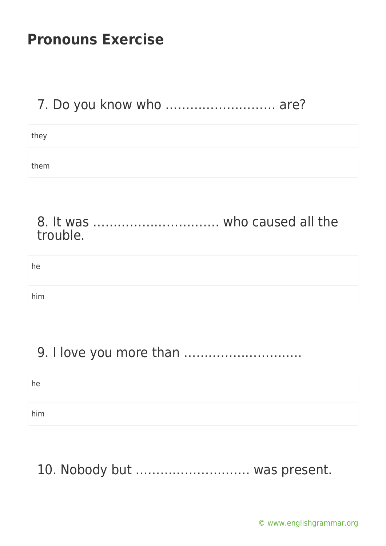### 7. Do you know who ……………………… are?

they

them

#### 8. It was …………………………. who caused all the trouble.

| he  |  |
|-----|--|
|     |  |
| him |  |

## 9. I love you more than ………………………..

he

him

# 10. Nobody but ………………………. was present.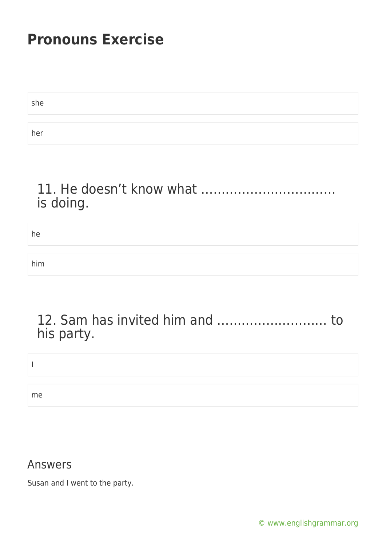| she |  |  |
|-----|--|--|
|     |  |  |
| her |  |  |

#### 11. He doesn't know what …………………………… is doing.

he

him

#### 12. Sam has invited him and ……………………… to his party.

I

me

#### Answers

Susan and I went to the party.